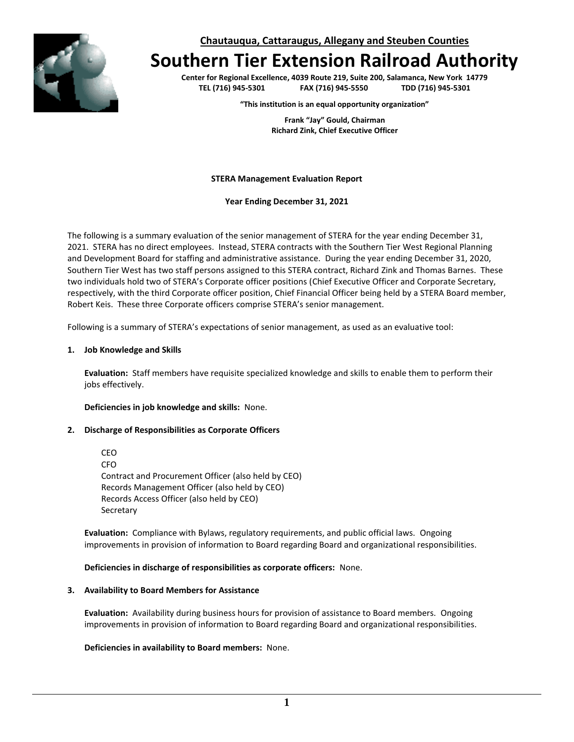

**Chautauqua, Cattaraugus, Allegany and Steuben Counties**

# **Southern Tier Extension Railroad Authority**

**Center for Regional Excellence, 4039 Route 219, Suite 200, Salamanca, New York 14779 TEL (716) 945-5301 FAX (716) 945-5550 TDD (716) 945-5301**

**"This institution is an equal opportunity organization"**

**Frank "Jay" Gould, Chairman Richard Zink, Chief Executive Officer**

**STERA Management Evaluation Report**

**Year Ending December 31, 2021**

The following is a summary evaluation of the senior management of STERA for the year ending December 31, 2021. STERA has no direct employees. Instead, STERA contracts with the Southern Tier West Regional Planning and Development Board for staffing and administrative assistance. During the year ending December 31, 2020, Southern Tier West has two staff persons assigned to this STERA contract, Richard Zink and Thomas Barnes. These two individuals hold two of STERA's Corporate officer positions (Chief Executive Officer and Corporate Secretary, respectively, with the third Corporate officer position, Chief Financial Officer being held by a STERA Board member, Robert Keis. These three Corporate officers comprise STERA's senior management.

Following is a summary of STERA's expectations of senior management, as used as an evaluative tool:

#### **1. Job Knowledge and Skills**

**Evaluation:** Staff members have requisite specialized knowledge and skills to enable them to perform their jobs effectively.

**Deficiencies in job knowledge and skills:** None.

### **2. Discharge of Responsibilities as Corporate Officers**

CEO CFO Contract and Procurement Officer (also held by CEO) Records Management Officer (also held by CEO) Records Access Officer (also held by CEO) Secretary

**Evaluation:** Compliance with Bylaws, regulatory requirements, and public official laws. Ongoing improvements in provision of information to Board regarding Board and organizational responsibilities.

**Deficiencies in discharge of responsibilities as corporate officers:** None.

#### **3. Availability to Board Members for Assistance**

**Evaluation:** Availability during business hours for provision of assistance to Board members. Ongoing improvements in provision of information to Board regarding Board and organizational responsibilities.

#### **Deficiencies in availability to Board members:** None.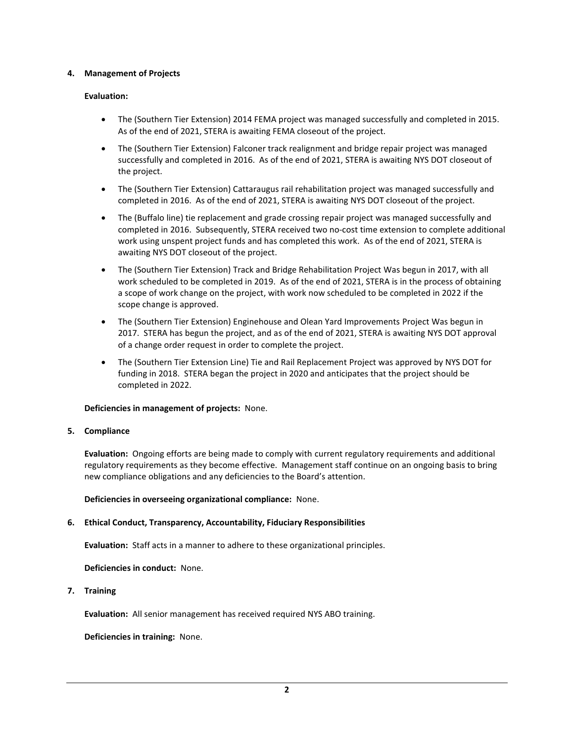## **4. Management of Projects**

## **Evaluation:**

- The (Southern Tier Extension) 2014 FEMA project was managed successfully and completed in 2015. As of the end of 2021, STERA is awaiting FEMA closeout of the project.
- The (Southern Tier Extension) Falconer track realignment and bridge repair project was managed successfully and completed in 2016. As of the end of 2021, STERA is awaiting NYS DOT closeout of the project.
- The (Southern Tier Extension) Cattaraugus rail rehabilitation project was managed successfully and completed in 2016. As of the end of 2021, STERA is awaiting NYS DOT closeout of the project.
- The (Buffalo line) tie replacement and grade crossing repair project was managed successfully and completed in 2016. Subsequently, STERA received two no-cost time extension to complete additional work using unspent project funds and has completed this work. As of the end of 2021, STERA is awaiting NYS DOT closeout of the project.
- The (Southern Tier Extension) Track and Bridge Rehabilitation Project Was begun in 2017, with all work scheduled to be completed in 2019. As of the end of 2021, STERA is in the process of obtaining a scope of work change on the project, with work now scheduled to be completed in 2022 if the scope change is approved.
- The (Southern Tier Extension) Enginehouse and Olean Yard Improvements Project Was begun in 2017. STERA has begun the project, and as of the end of 2021, STERA is awaiting NYS DOT approval of a change order request in order to complete the project.
- The (Southern Tier Extension Line) Tie and Rail Replacement Project was approved by NYS DOT for funding in 2018. STERA began the project in 2020 and anticipates that the project should be completed in 2022.

### **Deficiencies in management of projects:** None.

### **5. Compliance**

**Evaluation:** Ongoing efforts are being made to comply with current regulatory requirements and additional regulatory requirements as they become effective. Management staff continue on an ongoing basis to bring new compliance obligations and any deficiencies to the Board's attention.

**Deficiencies in overseeing organizational compliance:** None.

# **6. Ethical Conduct, Transparency, Accountability, Fiduciary Responsibilities**

**Evaluation:** Staff acts in a manner to adhere to these organizational principles.

### **Deficiencies in conduct:** None.

**7. Training**

**Evaluation:** All senior management has received required NYS ABO training.

**Deficiencies in training:** None.